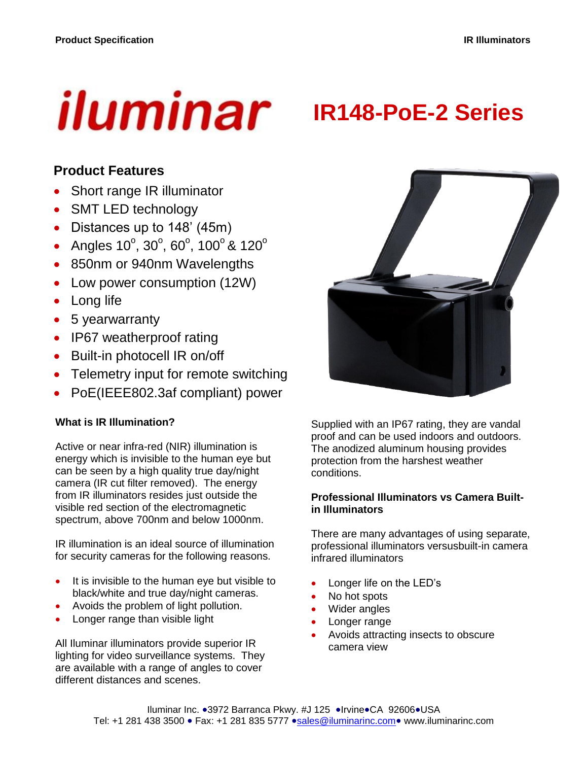# iluminar

# **IR148-PoE-2 Series**

## **Product Features**

- Short range IR illuminator
- SMT LED technology
- Distances up to 148' (45m)
- Angles  $10^{\circ}$ ,  $30^{\circ}$ ,  $60^{\circ}$ ,  $100^{\circ}$  &  $120^{\circ}$
- 850nm or 940nm Wavelengths
- Low power consumption (12W)
- Long life
- 5 yearwarranty
- IP67 weatherproof rating
- Built-in photocell IR on/off
- Telemetry input for remote switching
- PoE(IEEE802.3af compliant) power

#### **What is IR Illumination?**

Active or near infra-red (NIR) illumination is energy which is invisible to the human eye but can be seen by a high quality true day/night camera (IR cut filter removed). The energy from IR illuminators resides just outside the visible red section of the electromagnetic spectrum, above 700nm and below 1000nm.

IR illumination is an ideal source of illumination for security cameras for the following reasons.

- It is invisible to the human eye but visible to black/white and true day/night cameras.
- Avoids the problem of light pollution.
- Longer range than visible light

All Iluminar illuminators provide superior IR lighting for video surveillance systems. They are available with a range of angles to cover different distances and scenes.



Supplied with an IP67 rating, they are vandal proof and can be used indoors and outdoors. The anodized aluminum housing provides protection from the harshest weather conditions.

#### **Professional Illuminators vs Camera Builtin Illuminators**

There are many advantages of using separate, professional illuminators versusbuilt-in camera infrared illuminators

- Longer life on the LED's
- No hot spots
- Wider angles
- Longer range
- Avoids attracting insects to obscure camera view